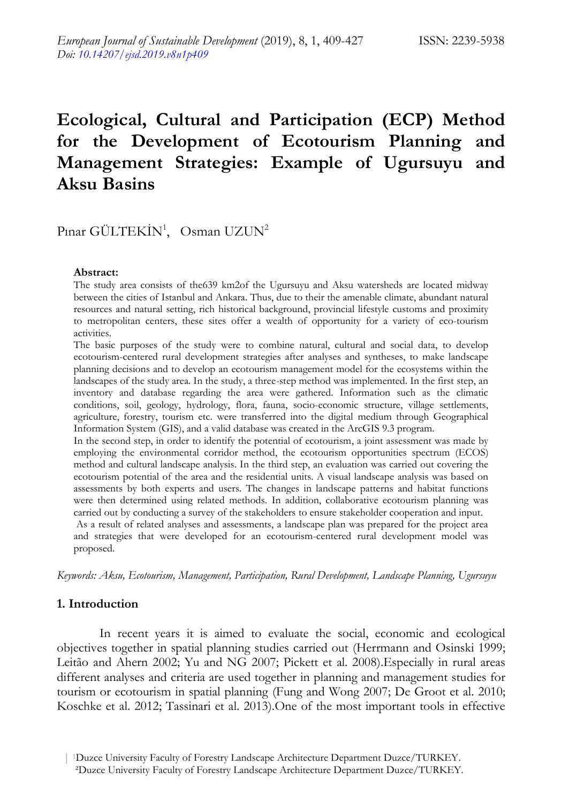# **Ecological, Cultural and Participation (ECP) Method for the Development of Ecotourism Planning and Management Strategies: Example of Ugursuyu and Aksu Basins**

# Pınar GÜLTEKİN<sup>1</sup>, Osman UZUN<sup>2</sup>

#### **Abstract:**

The study area consists of the639 km2of the Ugursuyu and Aksu watersheds are located midway between the cities of Istanbul and Ankara. Thus, due to their the amenable climate, abundant natural resources and natural setting, rich historical background, provincial lifestyle customs and proximity to metropolitan centers, these sites offer a wealth of opportunity for a variety of eco-tourism activities.

The basic purposes of the study were to combine natural, cultural and social data, to develop ecotourism-centered rural development strategies after analyses and syntheses, to make landscape planning decisions and to develop an ecotourism management model for the ecosystems within the landscapes of the study area. In the study, a three-step method was implemented. In the first step, an inventory and database regarding the area were gathered. Information such as the climatic conditions, soil, geology, hydrology, flora, fauna, socio-economic structure, village settlements, agriculture, forestry, tourism etc. were transferred into the digital medium through Geographical Information System (GIS), and a valid database was created in the ArcGIS 9.3 program.

In the second step, in order to identify the potential of ecotourism, a joint assessment was made by employing the environmental corridor method, the ecotourism opportunities spectrum (ECOS) method and cultural landscape analysis. In the third step, an evaluation was carried out covering the ecotourism potential of the area and the residential units. A visual landscape analysis was based on assessments by both experts and users. The changes in landscape patterns and habitat functions were then determined using related methods. In addition, collaborative ecotourism planning was carried out by conducting a survey of the stakeholders to ensure stakeholder cooperation and input.

As a result of related analyses and assessments, a landscape plan was prepared for the project area and strategies that were developed for an ecotourism-centered rural development model was proposed.

*Keywords: Aksu, Ecotourism, Management, Participation, Rural Development, Landscape Planning, Ugursuyu* 

#### **1. Introduction**

In recent years it is aimed to evaluate the social, economic and ecological objectives together in spatial planning studies carried out (Herrmann and Osinski 1999; Leitão and Ahern 2002; Yu and NG 2007; Pickett et al. 2008).Especially in rural areas different analyses and criteria are used together in planning and management studies for tourism or ecotourism in spatial planning (Fung and Wong 2007; De Groot et al. 2010; Koschke et al. 2012; Tassinari et al. 2013).One of the most important tools in effective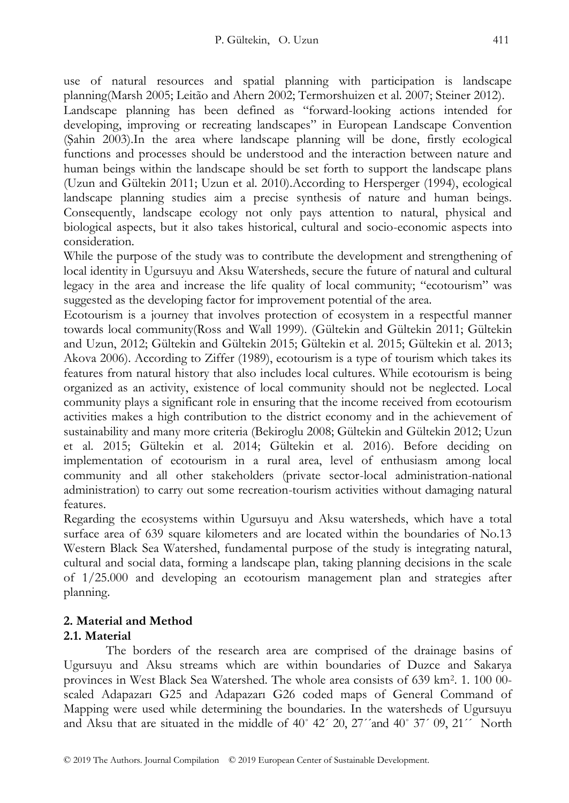use of natural resources and spatial planning with participation is landscape planning(Marsh 2005; Leitão and Ahern 2002; Termorshuizen et al. 2007; Steiner 2012). Landscape planning has been defined as "forward-looking actions intended for developing, improving or recreating landscapes" in European Landscape Convention (Şahin 2003).In the area where landscape planning will be done, firstly ecological functions and processes should be understood and the interaction between nature and human beings within the landscape should be set forth to support the landscape plans (Uzun and Gültekin 2011; Uzun et al. 2010).According to Hersperger (1994), ecological landscape planning studies aim a precise synthesis of nature and human beings. Consequently, landscape ecology not only pays attention to natural, physical and biological aspects, but it also takes historical, cultural and socio-economic aspects into consideration.

While the purpose of the study was to contribute the development and strengthening of local identity in Ugursuyu and Aksu Watersheds, secure the future of natural and cultural legacy in the area and increase the life quality of local community; "ecotourism" was suggested as the developing factor for improvement potential of the area.

Ecotourism is a journey that involves protection of ecosystem in a respectful manner towards local community(Ross and Wall 1999). (Gültekin and Gültekin 2011; Gültekin and Uzun, 2012; Gültekin and Gültekin 2015; Gültekin et al. 2015; Gültekin et al. 2013; Akova 2006). According to Ziffer (1989), ecotourism is a type of tourism which takes its features from natural history that also includes local cultures. While ecotourism is being organized as an activity, existence of local community should not be neglected. Local community plays a significant role in ensuring that the income received from ecotourism activities makes a high contribution to the district economy and in the achievement of sustainability and many more criteria (Bekiroglu 2008; Gültekin and Gültekin 2012; Uzun et al. 2015; Gültekin et al. 2014; Gültekin et al. 2016). Before deciding on implementation of ecotourism in a rural area, level of enthusiasm among local community and all other stakeholders (private sector-local administration-national administration) to carry out some recreation-tourism activities without damaging natural features.

Regarding the ecosystems within Ugursuyu and Aksu watersheds, which have a total surface area of 639 square kilometers and are located within the boundaries of No.13 Western Black Sea Watershed, fundamental purpose of the study is integrating natural, cultural and social data, forming a landscape plan, taking planning decisions in the scale of 1/25.000 and developing an ecotourism management plan and strategies after planning.

### **2. Material and Method 2.1. Material**

The borders of the research area are comprised of the drainage basins of Ugursuyu and Aksu streams which are within boundaries of Duzce and Sakarya provinces in West Black Sea Watershed. The whole area consists of 639 km<sup>2</sup> . 1. 100 00 scaled Adapazarı G25 and Adapazarı G26 coded maps of General Command of Mapping were used while determining the boundaries. In the watersheds of Ugursuyu and Aksu that are situated in the middle of  $40^{\circ}$   $42'$   $20$ ,  $27'$  and  $40^{\circ}$   $37'$   $09$ ,  $21'$  North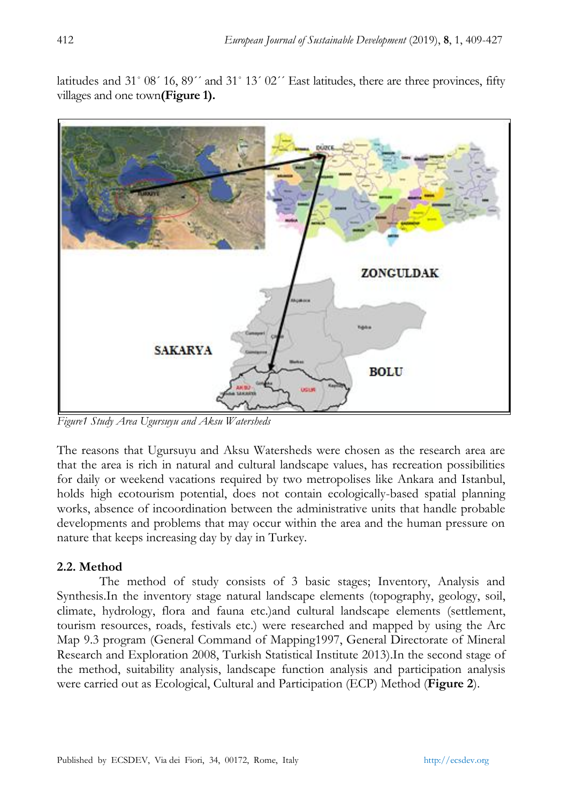latitudes and 31° 08´ 16, 89´´ and 31° 13´ 02´´ East latitudes, there are three provinces, fifty villages and one town**(Figure 1).**



*Figure1 Study Area Ugursuyu and Aksu Watersheds*

The reasons that Ugursuyu and Aksu Watersheds were chosen as the research area are that the area is rich in natural and cultural landscape values, has recreation possibilities for daily or weekend vacations required by two metropolises like Ankara and Istanbul, holds high ecotourism potential, does not contain ecologically-based spatial planning works, absence of incoordination between the administrative units that handle probable developments and problems that may occur within the area and the human pressure on nature that keeps increasing day by day in Turkey.

## **2.2. Method**

The method of study consists of 3 basic stages; Inventory, Analysis and Synthesis.In the inventory stage natural landscape elements (topography, geology, soil, climate, hydrology, flora and fauna etc.)and cultural landscape elements (settlement, tourism resources, roads, festivals etc.) were researched and mapped by using the Arc Map 9.3 program (General Command of Mapping1997, General Directorate of Mineral Research and Exploration 2008, Turkish Statistical Institute 2013).In the second stage of the method, suitability analysis, landscape function analysis and participation analysis were carried out as Ecological, Cultural and Participation (ECP) Method (**Figure 2**).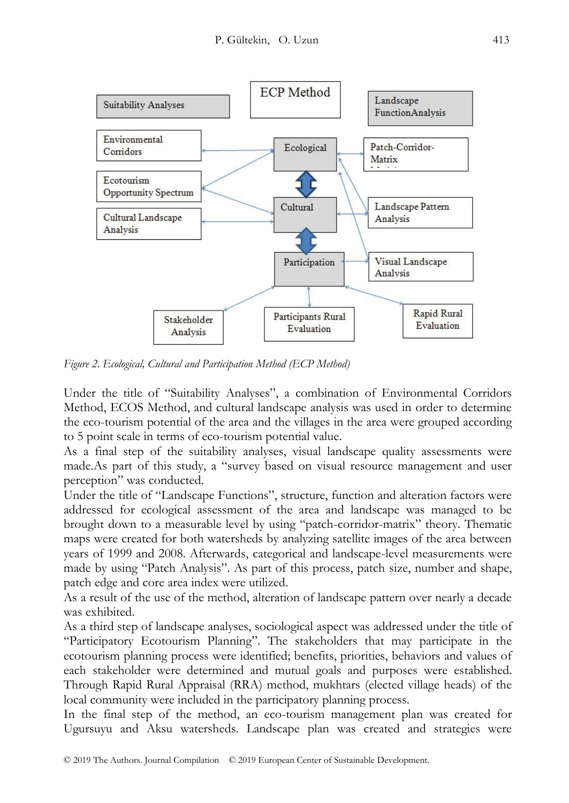

*Figure 2. Ecological, Cultural and Participation Method (ECP Method)*

Under the title of "Suitability Analyses", a combination of Environmental Corridors Method, ECOS Method, and cultural landscape analysis was used in order to determine the eco-tourism potential of the area and the villages in the area were grouped according to 5 point scale in terms of eco-tourism potential value.

As a final step of the suitability analyses, visual landscape quality assessments were made.As part of this study, a "survey based on visual resource management and user perception" was conducted.

Under the title of "Landscape Functions", structure, function and alteration factors were addressed for ecological assessment of the area and landscape was managed to be brought down to a measurable level by using "patch-corridor-matrix" theory. Thematic maps were created for both watersheds by analyzing satellite images of the area between years of 1999 and 2008. Afterwards, categorical and landscape-level measurements were made by using "Patch Analysis". As part of this process, patch size, number and shape, patch edge and core area index were utilized.

As a result of the use of the method, alteration of landscape pattern over nearly a decade was exhibited.

As a third step of landscape analyses, sociological aspect was addressed under the title of "Participatory Ecotourism Planning". The stakeholders that may participate in the ecotourism planning process were identified; benefits, priorities, behaviors and values of each stakeholder were determined and mutual goals and purposes were established. Through Rapid Rural Appraisal (RRA) method, mukhtars (elected village heads) of the local community were included in the participatory planning process.

In the final step of the method, an eco-tourism management plan was created for Ugursuyu and Aksu watersheds. Landscape plan was created and strategies were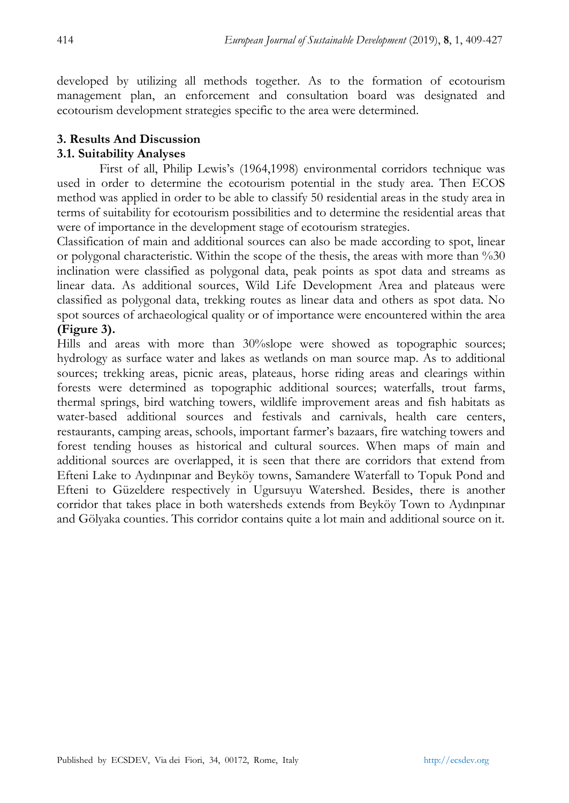developed by utilizing all methods together. As to the formation of ecotourism management plan, an enforcement and consultation board was designated and ecotourism development strategies specific to the area were determined.

## **3. Results And Discussion**

## **3.1. Suitability Analyses**

First of all, Philip Lewis's (1964,1998) environmental corridors technique was used in order to determine the ecotourism potential in the study area. Then ECOS method was applied in order to be able to classify 50 residential areas in the study area in terms of suitability for ecotourism possibilities and to determine the residential areas that were of importance in the development stage of ecotourism strategies.

Classification of main and additional sources can also be made according to spot, linear or polygonal characteristic. Within the scope of the thesis, the areas with more than %30 inclination were classified as polygonal data, peak points as spot data and streams as linear data. As additional sources, Wild Life Development Area and plateaus were classified as polygonal data, trekking routes as linear data and others as spot data. No spot sources of archaeological quality or of importance were encountered within the area **(Figure 3).**

Hills and areas with more than 30%slope were showed as topographic sources; hydrology as surface water and lakes as wetlands on man source map. As to additional sources; trekking areas, picnic areas, plateaus, horse riding areas and clearings within forests were determined as topographic additional sources; waterfalls, trout farms, thermal springs, bird watching towers, wildlife improvement areas and fish habitats as water-based additional sources and festivals and carnivals, health care centers, restaurants, camping areas, schools, important farmer's bazaars, fire watching towers and forest tending houses as historical and cultural sources. When maps of main and additional sources are overlapped, it is seen that there are corridors that extend from Efteni Lake to Aydınpınar and Beyköy towns, Samandere Waterfall to Topuk Pond and Efteni to Güzeldere respectively in Ugursuyu Watershed. Besides, there is another corridor that takes place in both watersheds extends from Beyköy Town to Aydınpınar and Gölyaka counties. This corridor contains quite a lot main and additional source on it.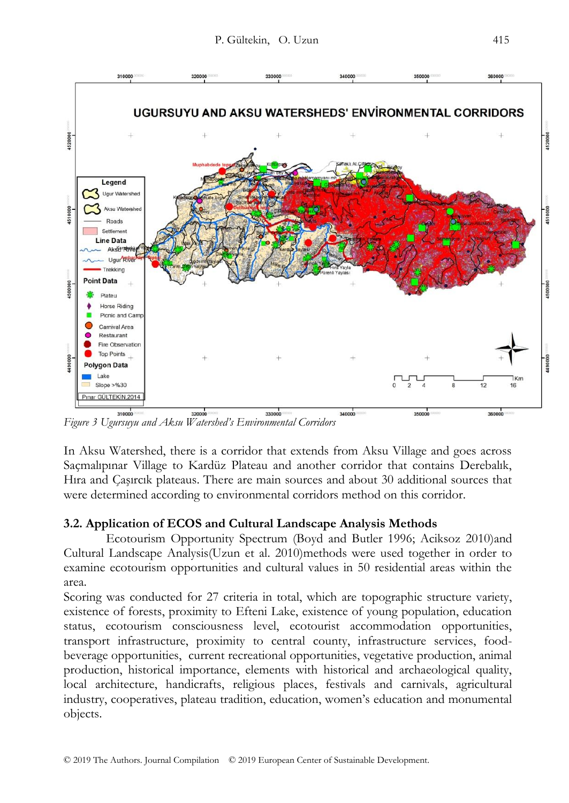

*Figure 3 Ugursuyu and Aksu Watershed's Environmental Corridors*

In Aksu Watershed, there is a corridor that extends from Aksu Village and goes across Saçmalıpınar Village to Kardüz Plateau and another corridor that contains Derebalık, Hıra and Çaşırcık plateaus. There are main sources and about 30 additional sources that were determined according to environmental corridors method on this corridor.

## **3.2. Application of ECOS and Cultural Landscape Analysis Methods**

Ecotourism Opportunity Spectrum (Boyd and Butler 1996; Aciksoz 2010)and Cultural Landscape Analysis(Uzun et al. 2010)methods were used together in order to examine ecotourism opportunities and cultural values in 50 residential areas within the area.

Scoring was conducted for 27 criteria in total, which are topographic structure variety, existence of forests, proximity to Efteni Lake, existence of young population, education status, ecotourism consciousness level, ecotourist accommodation opportunities, transport infrastructure, proximity to central county, infrastructure services, foodbeverage opportunities, current recreational opportunities, vegetative production, animal production, historical importance, elements with historical and archaeological quality, local architecture, handicrafts, religious places, festivals and carnivals, agricultural industry, cooperatives, plateau tradition, education, women's education and monumental objects.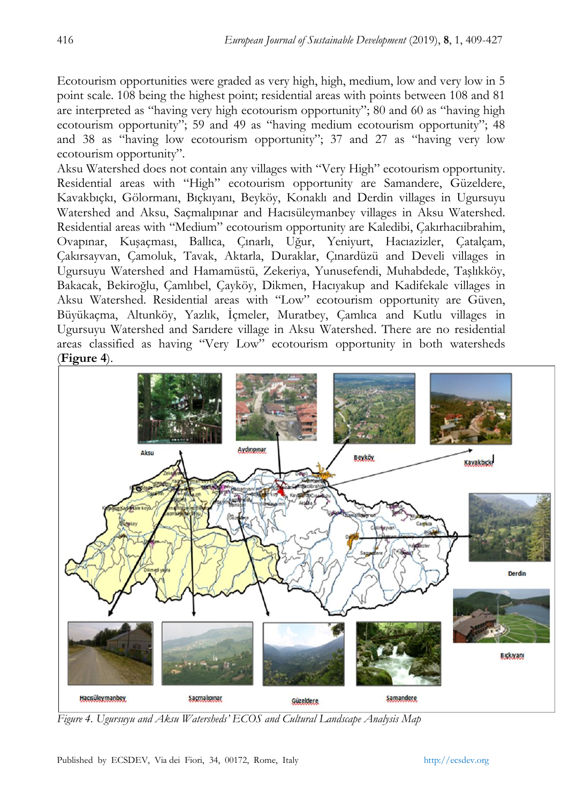Ecotourism opportunities were graded as very high, high, medium, low and very low in 5 point scale. 108 being the highest point; residential areas with points between 108 and 81 are interpreted as "having very high ecotourism opportunity"; 80 and 60 as "having high ecotourism opportunity"; 59 and 49 as "having medium ecotourism opportunity"; 48 and 38 as "having low ecotourism opportunity"; 37 and 27 as "having very low ecotourism opportunity".

Aksu Watershed does not contain any villages with "Very High" ecotourism opportunity. Residential areas with "High" ecotourism opportunity are Samandere, Güzeldere, Kavakbıçkı, Gölormanı, Bıçkıyanı, Beyköy, Konaklı and Derdin villages in Ugursuyu Watershed and Aksu, Saçmalıpınar and Hacısüleymanbey villages in Aksu Watershed. Residential areas with "Medium" ecotourism opportunity are Kaledibi, Çakırhacıibrahim, Ovapınar, Kuşaçması, Ballıca, Çınarlı, Uğur, Yeniyurt, Hacıazizler, Çatalçam, Çakırsayvan, Çamoluk, Tavak, Aktarla, Duraklar, Çınardüzü and Develi villages in Ugursuyu Watershed and Hamamüstü, Zekeriya, Yunusefendi, Muhabdede, Taşlıkköy, Bakacak, Bekiroğlu, Çamlıbel, Çayköy, Dikmen, Hacıyakup and Kadifekale villages in Aksu Watershed. Residential areas with "Low" ecotourism opportunity are Güven, Büyükaçma, Altunköy, Yazlık, İçmeler, Muratbey, Çamlıca and Kutlu villages in Ugursuyu Watershed and Sarıdere village in Aksu Watershed. There are no residential areas classified as having "Very Low" ecotourism opportunity in both watersheds (**Figure 4**).



*Figure 4. Ugursuyu and Aksu Watersheds' ECOS and Cultural Landscape Analysis Map*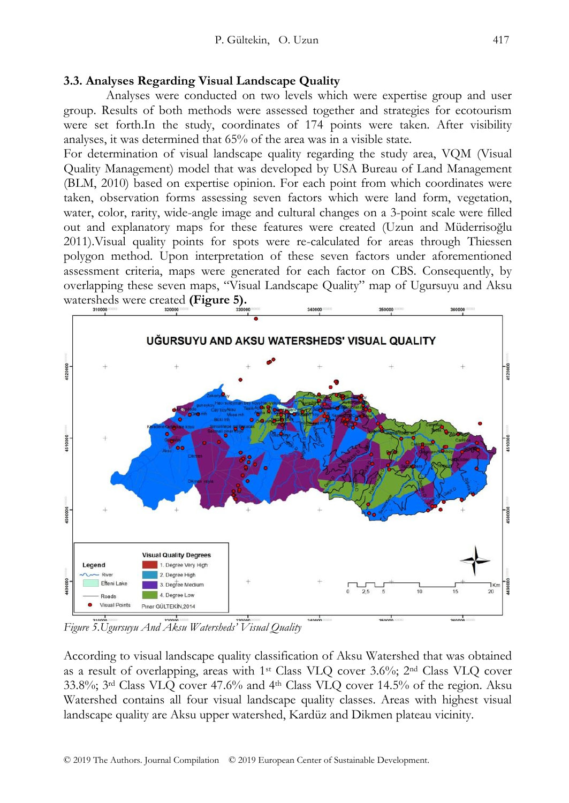### **3.3. Analyses Regarding Visual Landscape Quality**

Analyses were conducted on two levels which were expertise group and user group. Results of both methods were assessed together and strategies for ecotourism were set forth.In the study, coordinates of 174 points were taken. After visibility analyses, it was determined that 65% of the area was in a visible state.

For determination of visual landscape quality regarding the study area, VQM (Visual Quality Management) model that was developed by USA Bureau of Land Management (BLM, 2010) based on expertise opinion. For each point from which coordinates were taken, observation forms assessing seven factors which were land form, vegetation, water, color, rarity, wide-angle image and cultural changes on a 3-point scale were filled out and explanatory maps for these features were created (Uzun and Müderrisoğlu 2011).Visual quality points for spots were re-calculated for areas through Thiessen polygon method. Upon interpretation of these seven factors under aforementioned assessment criteria, maps were generated for each factor on CBS. Consequently, by overlapping these seven maps, "Visual Landscape Quality" map of Ugursuyu and Aksu watersheds were created **(Figure 5).**



*Figure 5.Ugursuyu And Aksu Watersheds' Visual Quality*

According to visual landscape quality classification of Aksu Watershed that was obtained as a result of overlapping, areas with 1st Class VLQ cover 3.6%; 2nd Class VLQ cover  $33.8\%$ ;  $3<sup>rd</sup> Class VLQ cover 47.6%$  and  $4<sup>th</sup> Class VLQ cover 14.5%$  of the region. Aksu Watershed contains all four visual landscape quality classes. Areas with highest visual landscape quality are Aksu upper watershed, Kardüz and Dikmen plateau vicinity.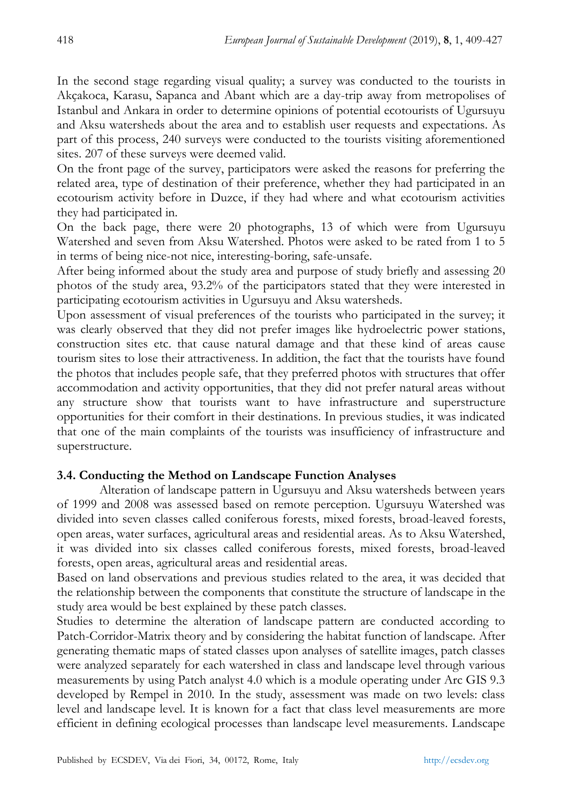In the second stage regarding visual quality; a survey was conducted to the tourists in Akçakoca, Karasu, Sapanca and Abant which are a day-trip away from metropolises of Istanbul and Ankara in order to determine opinions of potential ecotourists of Ugursuyu and Aksu watersheds about the area and to establish user requests and expectations. As part of this process, 240 surveys were conducted to the tourists visiting aforementioned sites. 207 of these surveys were deemed valid.

On the front page of the survey, participators were asked the reasons for preferring the related area, type of destination of their preference, whether they had participated in an ecotourism activity before in Duzce, if they had where and what ecotourism activities they had participated in.

On the back page, there were 20 photographs, 13 of which were from Ugursuyu Watershed and seven from Aksu Watershed. Photos were asked to be rated from 1 to 5 in terms of being nice-not nice, interesting-boring, safe-unsafe.

After being informed about the study area and purpose of study briefly and assessing 20 photos of the study area, 93.2% of the participators stated that they were interested in participating ecotourism activities in Ugursuyu and Aksu watersheds.

Upon assessment of visual preferences of the tourists who participated in the survey; it was clearly observed that they did not prefer images like hydroelectric power stations, construction sites etc. that cause natural damage and that these kind of areas cause tourism sites to lose their attractiveness. In addition, the fact that the tourists have found the photos that includes people safe, that they preferred photos with structures that offer accommodation and activity opportunities, that they did not prefer natural areas without any structure show that tourists want to have infrastructure and superstructure opportunities for their comfort in their destinations. In previous studies, it was indicated that one of the main complaints of the tourists was insufficiency of infrastructure and superstructure.

## **3.4. Conducting the Method on Landscape Function Analyses**

Alteration of landscape pattern in Ugursuyu and Aksu watersheds between years of 1999 and 2008 was assessed based on remote perception. Ugursuyu Watershed was divided into seven classes called coniferous forests, mixed forests, broad-leaved forests, open areas, water surfaces, agricultural areas and residential areas. As to Aksu Watershed, it was divided into six classes called coniferous forests, mixed forests, broad-leaved forests, open areas, agricultural areas and residential areas.

Based on land observations and previous studies related to the area, it was decided that the relationship between the components that constitute the structure of landscape in the study area would be best explained by these patch classes.

Studies to determine the alteration of landscape pattern are conducted according to Patch-Corridor-Matrix theory and by considering the habitat function of landscape. After generating thematic maps of stated classes upon analyses of satellite images, patch classes were analyzed separately for each watershed in class and landscape level through various measurements by using Patch analyst 4.0 which is a module operating under Arc GIS 9.3 developed by Rempel in 2010. In the study, assessment was made on two levels: class level and landscape level. It is known for a fact that class level measurements are more efficient in defining ecological processes than landscape level measurements. Landscape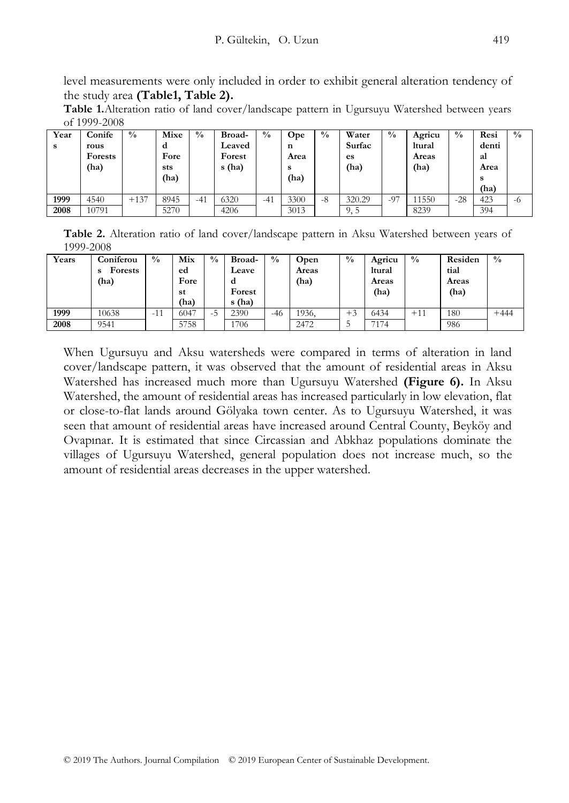level measurements were only included in order to exhibit general alteration tendency of the study area **(Table1, Table 2).**

**Table 1.**Alteration ratio of land cover/landscape pattern in Ugursuyu Watershed between years of 1999-2008

| Year<br>s | Conife<br>rous<br><b>Forests</b><br>(ha) | $\frac{0}{0}$ | Mixe<br>d<br>Fore<br>sts<br>(ha) | $^{0}/_{0}$ | Broad-<br>Leaved<br>Forest<br>s (ha) | $^{0}/_{0}$ | Ope<br>n<br>Area<br>s<br>(ha) | $^{0}/_{0}$ | Water<br>Surfac<br>es<br>(ha) | $^{0}/_{0}$ | Agricu<br>ltural<br>Areas<br>(ha) | $\frac{0}{0}$ | Resi<br>denti<br>al<br>Area<br>s<br>(ha) | $\frac{0}{0}$ |
|-----------|------------------------------------------|---------------|----------------------------------|-------------|--------------------------------------|-------------|-------------------------------|-------------|-------------------------------|-------------|-----------------------------------|---------------|------------------------------------------|---------------|
| 1999      | 4540                                     | $+137$        | 8945                             | $-41$       | 6320                                 | $-41$       | 3300                          | -8          | 320.29                        | $-97$       | 11550                             | $-28$         | 423                                      | -6            |
| 2008      | 10791                                    |               | 5270                             |             | 4206                                 |             | 3013                          |             | 9, 5                          |             | 8239                              |               | 394                                      |               |

**Table 2.** Alteration ratio of land cover/landscape pattern in Aksu Watershed between years of 1999-2008

| Years | Coniferou<br><b>Forests</b><br>s<br>(ha) | $\frac{0}{0}$ | Mix<br>ed<br>Fore<br>st<br>(ha) | $\frac{0}{0}$ | Broad-<br>Leave<br>d<br>Forest<br>s (ha) | $^{0}/_{0}$ | Open<br>Areas<br>(ha) | $\frac{0}{0}$ | Agricu<br>ltural<br>Areas<br>(ha) | $\frac{0}{0}$ | Residen<br>tial<br>Areas<br>(ha) | $^{0}/_{0}$ |
|-------|------------------------------------------|---------------|---------------------------------|---------------|------------------------------------------|-------------|-----------------------|---------------|-----------------------------------|---------------|----------------------------------|-------------|
| 1999  | 10638                                    | $-11$         | 6047                            | $-5$          | 2390                                     | $-46$       | 1936,                 | $+3$          | 6434                              | $+11$         | 180                              | $+444$      |
| 2008  | 9541                                     |               | 5758                            |               | 1706                                     |             | 2472                  |               | 7174                              |               | 986                              |             |

When Ugursuyu and Aksu watersheds were compared in terms of alteration in land cover/landscape pattern, it was observed that the amount of residential areas in Aksu Watershed has increased much more than Ugursuyu Watershed **(Figure 6).** In Aksu Watershed, the amount of residential areas has increased particularly in low elevation, flat or close-to-flat lands around Gölyaka town center. As to Ugursuyu Watershed, it was seen that amount of residential areas have increased around Central County, Beyköy and Ovapınar. It is estimated that since Circassian and Abkhaz populations dominate the villages of Ugursuyu Watershed, general population does not increase much, so the amount of residential areas decreases in the upper watershed.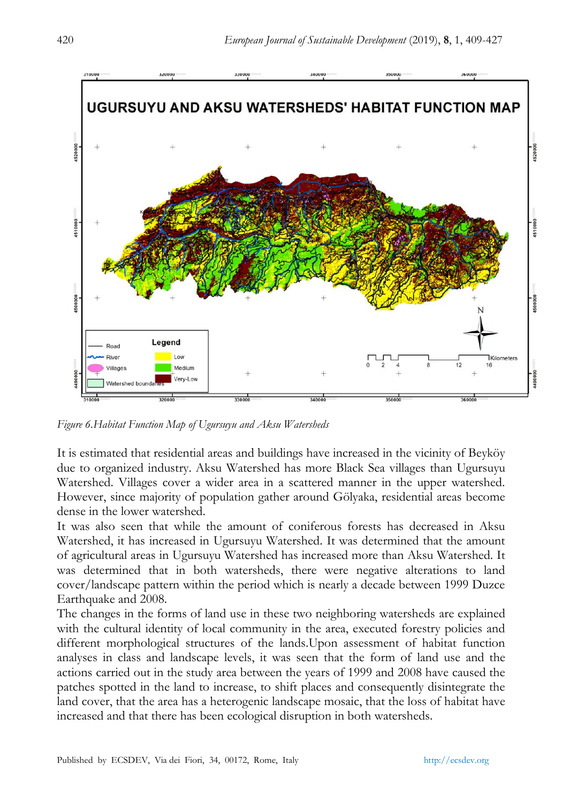

*Figure 6.Habitat Function Map of Ugursuyu and Aksu Watersheds*

It is estimated that residential areas and buildings have increased in the vicinity of Beyköy due to organized industry. Aksu Watershed has more Black Sea villages than Ugursuyu Watershed. Villages cover a wider area in a scattered manner in the upper watershed. However, since majority of population gather around Gölyaka, residential areas become dense in the lower watershed.

It was also seen that while the amount of coniferous forests has decreased in Aksu Watershed, it has increased in Ugursuyu Watershed. It was determined that the amount of agricultural areas in Ugursuyu Watershed has increased more than Aksu Watershed. It was determined that in both watersheds, there were negative alterations to land cover/landscape pattern within the period which is nearly a decade between 1999 Duzce Earthquake and 2008.

The changes in the forms of land use in these two neighboring watersheds are explained with the cultural identity of local community in the area, executed forestry policies and different morphological structures of the lands.Upon assessment of habitat function analyses in class and landscape levels, it was seen that the form of land use and the actions carried out in the study area between the years of 1999 and 2008 have caused the patches spotted in the land to increase, to shift places and consequently disintegrate the land cover, that the area has a heterogenic landscape mosaic, that the loss of habitat have increased and that there has been ecological disruption in both watersheds.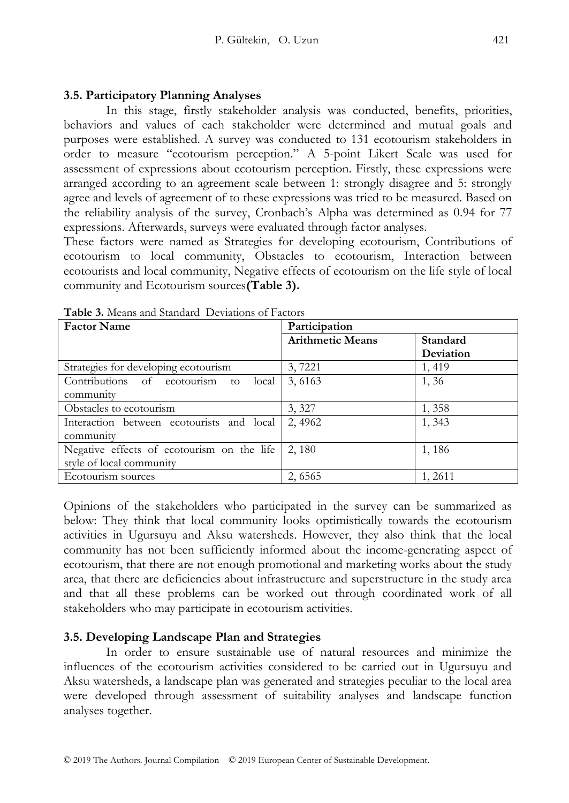#### **3.5. Participatory Planning Analyses**

In this stage, firstly stakeholder analysis was conducted, benefits, priorities, behaviors and values of each stakeholder were determined and mutual goals and purposes were established. A survey was conducted to 131 ecotourism stakeholders in order to measure "ecotourism perception." A 5-point Likert Scale was used for assessment of expressions about ecotourism perception. Firstly, these expressions were arranged according to an agreement scale between 1: strongly disagree and 5: strongly agree and levels of agreement of to these expressions was tried to be measured. Based on the reliability analysis of the survey, Cronbach's Alpha was determined as 0.94 for 77 expressions. Afterwards, surveys were evaluated through factor analyses.

These factors were named as Strategies for developing ecotourism, Contributions of ecotourism to local community, Obstacles to ecotourism, Interaction between ecotourists and local community, Negative effects of ecotourism on the life style of local community and Ecotourism sources**(Table 3).**

| <b>Factor Name</b>                         | Participation           |           |  |  |  |
|--------------------------------------------|-------------------------|-----------|--|--|--|
|                                            | <b>Arithmetic Means</b> | Standard  |  |  |  |
|                                            |                         | Deviation |  |  |  |
| Strategies for developing ecotourism       | 3,7221                  | 1,419     |  |  |  |
| Contributions of ecotourism to<br>local    | 3,6163                  | 1,36      |  |  |  |
| community                                  |                         |           |  |  |  |
| Obstacles to ecotourism                    | 3, 327                  | 1,358     |  |  |  |
| Interaction between ecotourists and local  | 2,4962                  | 1,343     |  |  |  |
| community                                  |                         |           |  |  |  |
| Negative effects of ecotourism on the life | 2, 180                  | 1,186     |  |  |  |
| style of local community                   |                         |           |  |  |  |
| Ecotourism sources                         | 2,6565                  | 1,2611    |  |  |  |

**Table 3.** Means and Standard Deviations of Factors

Opinions of the stakeholders who participated in the survey can be summarized as below: They think that local community looks optimistically towards the ecotourism activities in Ugursuyu and Aksu watersheds. However, they also think that the local community has not been sufficiently informed about the income-generating aspect of ecotourism, that there are not enough promotional and marketing works about the study area, that there are deficiencies about infrastructure and superstructure in the study area and that all these problems can be worked out through coordinated work of all stakeholders who may participate in ecotourism activities.

#### **3.5. Developing Landscape Plan and Strategies**

In order to ensure sustainable use of natural resources and minimize the influences of the ecotourism activities considered to be carried out in Ugursuyu and Aksu watersheds, a landscape plan was generated and strategies peculiar to the local area were developed through assessment of suitability analyses and landscape function analyses together.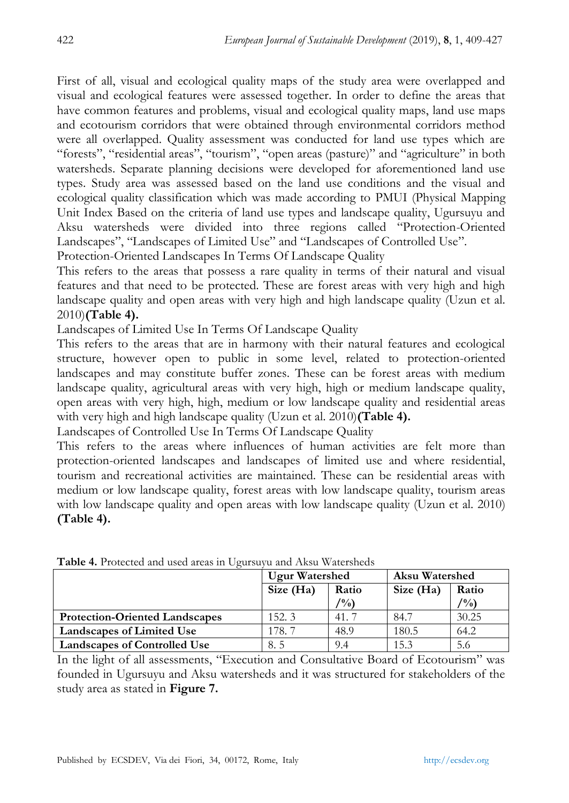First of all, visual and ecological quality maps of the study area were overlapped and visual and ecological features were assessed together. In order to define the areas that have common features and problems, visual and ecological quality maps, land use maps and ecotourism corridors that were obtained through environmental corridors method were all overlapped. Quality assessment was conducted for land use types which are "forests", "residential areas", "tourism", "open areas (pasture)" and "agriculture" in both watersheds. Separate planning decisions were developed for aforementioned land use types. Study area was assessed based on the land use conditions and the visual and ecological quality classification which was made according to PMUI (Physical Mapping Unit Index Based on the criteria of land use types and landscape quality, Ugursuyu and Aksu watersheds were divided into three regions called "Protection-Oriented Landscapes", "Landscapes of Limited Use" and "Landscapes of Controlled Use".

Protection-Oriented Landscapes In Terms Of Landscape Quality

This refers to the areas that possess a rare quality in terms of their natural and visual features and that need to be protected. These are forest areas with very high and high landscape quality and open areas with very high and high landscape quality (Uzun et al. 2010)**(Table 4).**

Landscapes of Limited Use In Terms Of Landscape Quality

This refers to the areas that are in harmony with their natural features and ecological structure, however open to public in some level, related to protection-oriented landscapes and may constitute buffer zones. These can be forest areas with medium landscape quality, agricultural areas with very high, high or medium landscape quality, open areas with very high, high, medium or low landscape quality and residential areas with very high and high landscape quality (Uzun et al. 2010)**(Table 4).**

Landscapes of Controlled Use In Terms Of Landscape Quality

This refers to the areas where influences of human activities are felt more than protection-oriented landscapes and landscapes of limited use and where residential, tourism and recreational activities are maintained. These can be residential areas with medium or low landscape quality, forest areas with low landscape quality, tourism areas with low landscape quality and open areas with low landscape quality (Uzun et al. 2010) **(Table 4).**

|                                       | <b>Ugur Watershed</b> |                | <b>Aksu Watershed</b> |                |  |
|---------------------------------------|-----------------------|----------------|-----------------------|----------------|--|
|                                       | Size (Ha)             | Ratio          | Size (Ha)             | Ratio          |  |
|                                       |                       | $\frac{10}{6}$ |                       | $\frac{10}{6}$ |  |
| <b>Protection-Oriented Landscapes</b> | 152.3                 | 41.7           | 84.7                  | 30.25          |  |
| Landscapes of Limited Use             | 178.7                 | 48.9           | 180.5                 | 64.2           |  |
| <b>Landscapes of Controlled Use</b>   | 8.5                   | 9.4            | 15.3                  | 5.6            |  |

**Table 4.** Protected and used areas in Ugursuyu and Aksu Watersheds

In the light of all assessments, "Execution and Consultative Board of Ecotourism" was founded in Ugursuyu and Aksu watersheds and it was structured for stakeholders of the study area as stated in **Figure 7.**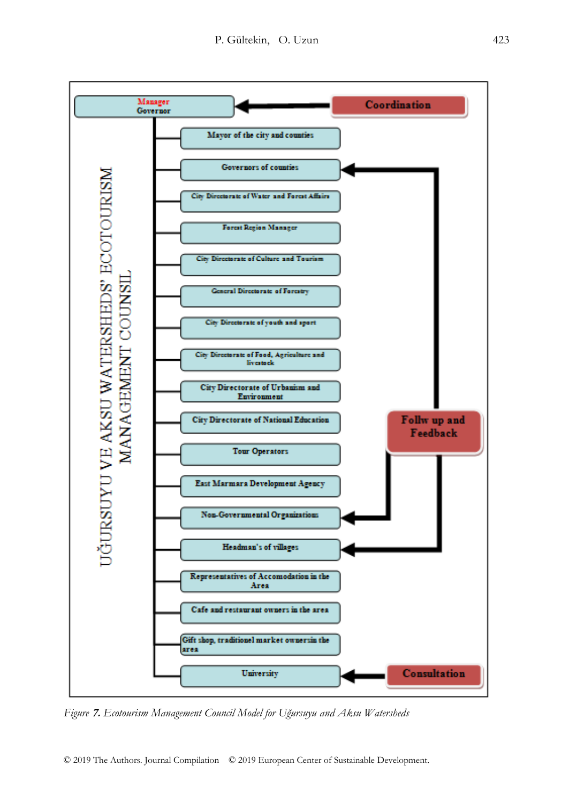

*Figure* **7.** *Ecotourism Management Council Model for Uğursuyu and Aksu Watersheds*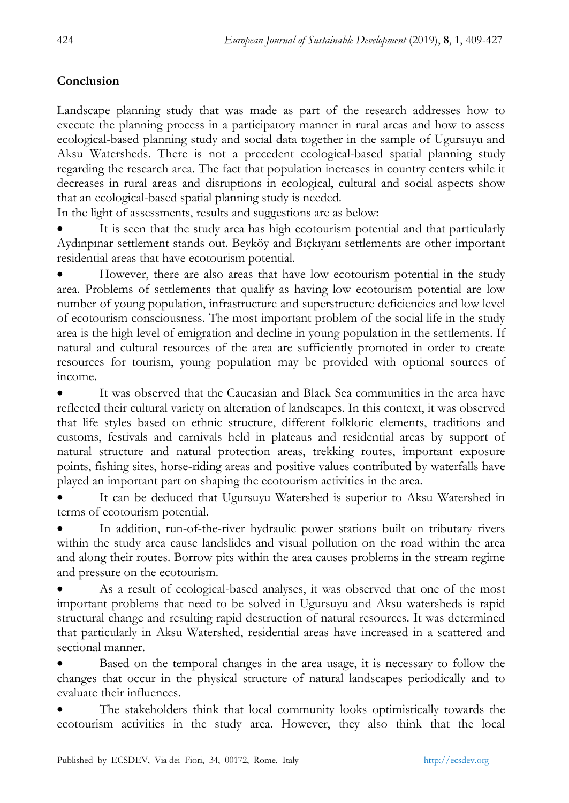## **Conclusion**

Landscape planning study that was made as part of the research addresses how to execute the planning process in a participatory manner in rural areas and how to assess ecological-based planning study and social data together in the sample of Ugursuyu and Aksu Watersheds. There is not a precedent ecological-based spatial planning study regarding the research area. The fact that population increases in country centers while it decreases in rural areas and disruptions in ecological, cultural and social aspects show that an ecological-based spatial planning study is needed.

In the light of assessments, results and suggestions are as below:

 It is seen that the study area has high ecotourism potential and that particularly Aydınpınar settlement stands out. Beyköy and Bıçkıyanı settlements are other important residential areas that have ecotourism potential.

 However, there are also areas that have low ecotourism potential in the study area. Problems of settlements that qualify as having low ecotourism potential are low number of young population, infrastructure and superstructure deficiencies and low level of ecotourism consciousness. The most important problem of the social life in the study area is the high level of emigration and decline in young population in the settlements. If natural and cultural resources of the area are sufficiently promoted in order to create resources for tourism, young population may be provided with optional sources of income.

 It was observed that the Caucasian and Black Sea communities in the area have reflected their cultural variety on alteration of landscapes. In this context, it was observed that life styles based on ethnic structure, different folkloric elements, traditions and customs, festivals and carnivals held in plateaus and residential areas by support of natural structure and natural protection areas, trekking routes, important exposure points, fishing sites, horse-riding areas and positive values contributed by waterfalls have played an important part on shaping the ecotourism activities in the area.

 It can be deduced that Ugursuyu Watershed is superior to Aksu Watershed in terms of ecotourism potential.

 In addition, run-of-the-river hydraulic power stations built on tributary rivers within the study area cause landslides and visual pollution on the road within the area and along their routes. Borrow pits within the area causes problems in the stream regime and pressure on the ecotourism.

 As a result of ecological-based analyses, it was observed that one of the most important problems that need to be solved in Ugursuyu and Aksu watersheds is rapid structural change and resulting rapid destruction of natural resources. It was determined that particularly in Aksu Watershed, residential areas have increased in a scattered and sectional manner.

 Based on the temporal changes in the area usage, it is necessary to follow the changes that occur in the physical structure of natural landscapes periodically and to evaluate their influences.

 The stakeholders think that local community looks optimistically towards the ecotourism activities in the study area. However, they also think that the local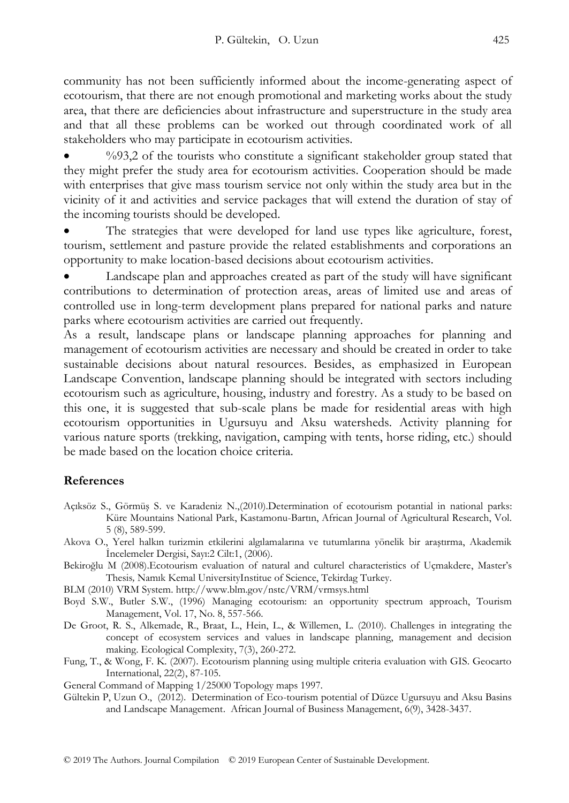community has not been sufficiently informed about the income-generating aspect of ecotourism, that there are not enough promotional and marketing works about the study area, that there are deficiencies about infrastructure and superstructure in the study area and that all these problems can be worked out through coordinated work of all stakeholders who may participate in ecotourism activities.

%93,2 of the tourists who constitute a significant stakeholder group stated that they might prefer the study area for ecotourism activities. Cooperation should be made with enterprises that give mass tourism service not only within the study area but in the vicinity of it and activities and service packages that will extend the duration of stay of the incoming tourists should be developed.

 The strategies that were developed for land use types like agriculture, forest, tourism, settlement and pasture provide the related establishments and corporations an opportunity to make location-based decisions about ecotourism activities.

 Landscape plan and approaches created as part of the study will have significant contributions to determination of protection areas, areas of limited use and areas of controlled use in long-term development plans prepared for national parks and nature parks where ecotourism activities are carried out frequently.

As a result, landscape plans or landscape planning approaches for planning and management of ecotourism activities are necessary and should be created in order to take sustainable decisions about natural resources. Besides, as emphasized in European Landscape Convention, landscape planning should be integrated with sectors including ecotourism such as agriculture, housing, industry and forestry. As a study to be based on this one, it is suggested that sub-scale plans be made for residential areas with high ecotourism opportunities in Ugursuyu and Aksu watersheds. Activity planning for various nature sports (trekking, navigation, camping with tents, horse riding, etc.) should be made based on the location choice criteria.

#### **References**

- Açıksöz S., Görmüş S. ve Karadeniz N.,(2010).Determination of ecotourism potantial in national parks: Küre Mountains National Park, Kastamonu-Bartın, African Journal of Agricultural Research, Vol. 5 (8), 589-599.
- Akova O., Yerel halkın turizmin etkilerini algılamalarına ve tutumlarına yönelik bir araştırma, Akademik İncelemeler Dergisi, Sayı:2 Cilt:1, (2006).
- Bekiroğlu M (2008).Ecotourism evaluation of natural and culturel characteristics of Uçmakdere, Master's Thesis*,* Namık Kemal UniversityInstitue of Science, Tekirdag Turkey.
- BLM (2010) VRM System.<http://www.blm.gov/nstc/VRM/vrmsys.html>

Boyd S.W., Butler S.W., (1996) Managing ecotourism: an opportunity spectrum approach, Tourism Management, Vol. 17, No. 8, 557-566.

- De Groot, R. S., Alkemade, R., Braat, L., Hein, L., & Willemen, L. (2010). Challenges in integrating the concept of ecosystem services and values in landscape planning, management and decision making. Ecological Complexity, 7(3), 260-272.
- Fung, T., & Wong, F. K. (2007). Ecotourism planning using multiple criteria evaluation with GIS. Geocarto International, 22(2), 87-105.

General Command of Mapping 1/25000 Topology maps 1997.

Gültekin P, Uzun O., (2012). Determination of Eco-tourism potential of Düzce Ugursuyu and Aksu Basins and Landscape Management. African Journal of Business Management, 6(9), 3428-3437.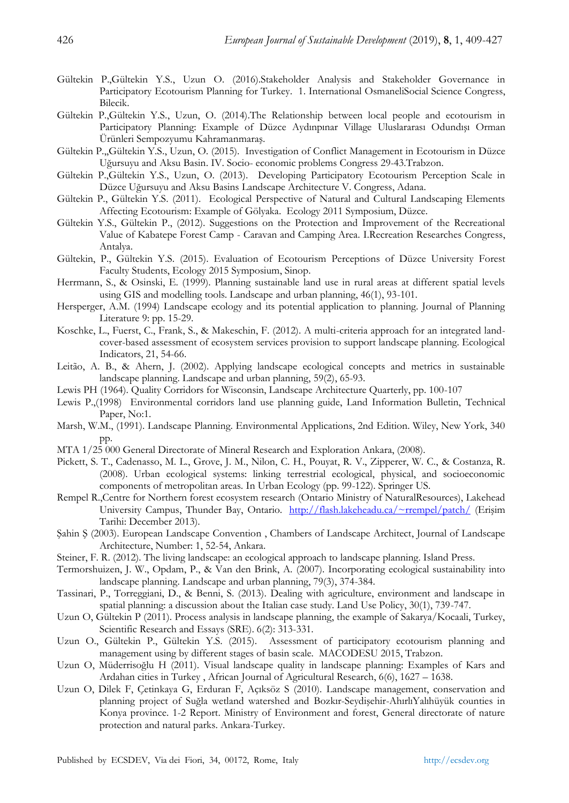- Gültekin P.,Gültekin Y.S., Uzun O. (2016).Stakeholder Analysis and Stakeholder Governance in Participatory Ecotourism Planning for Turkey. 1. International OsmaneliSocial Science Congress, Bilecik.
- Gültekin P.,Gültekin Y.S., Uzun, O. (2014).The Relationship between local people and ecotourism in Participatory Planning: Example of Düzce Aydınpınar Village Uluslararası Odundışı Orman Ürünleri Sempozyumu Kahramanmaraş.
- Gültekin P.,,Gültekin Y.S., Uzun, O. (2015). Investigation of Conflict Management in Ecotourism in Düzce Uğursuyu and Aksu Basin. IV. Socio- economic problems Congress 29-43.Trabzon.
- Gültekin P.,Gültekin Y.S., Uzun, O. (2013). Developing Participatory Ecotourism Perception Scale in Düzce Uğursuyu and Aksu Basins Landscape Architecture V. Congress, Adana.
- Gültekin P., Gültekin Y.S. (2011). Ecological Perspective of Natural and Cultural Landscaping Elements Affecting Ecotourism: Example of Gölyaka. Ecology 2011 Symposium, Düzce.
- Gültekin Y.S., Gültekin P., (2012). Suggestions on the Protection and Improvement of the Recreational Value of Kabatepe Forest Camp - Caravan and Camping Area. I.Recreation Researches Congress, Antalya.
- Gültekin, P., Gültekin Y.S. (2015). Evaluation of Ecotourism Perceptions of Düzce University Forest Faculty Students, Ecology 2015 Symposium, Sinop.
- Herrmann, S., & Osinski, E. (1999). Planning sustainable land use in rural areas at different spatial levels using GIS and modelling tools. Landscape and urban planning, 46(1), 93-101.
- Hersperger, A.M. (1994) Landscape ecology and its potential application to planning. Journal of Planning Literature 9: pp. 15-29.
- Koschke, L., Fuerst, C., Frank, S., & Makeschin, F. (2012). A multi-criteria approach for an integrated landcover-based assessment of ecosystem services provision to support landscape planning. Ecological Indicators, 21, 54-66.
- Leitão, A. B., & Ahern, J. (2002). Applying landscape ecological concepts and metrics in sustainable landscape planning. Landscape and urban planning, 59(2), 65-93.
- Lewis PH (1964). Quality Corridors for Wisconsin, Landscape Architecture Quarterly, pp. 100-107
- Lewis P.,(1998) Environmental corridors land use planning guide, Land Information Bulletin, Technical Paper, No:1.
- Marsh, W.M., (1991). Landscape Planning. Environmental Applications, 2nd Edition. Wiley, New York, 340 pp.
- MTA 1/25 000 General Directorate of Mineral Research and Exploration Ankara, (2008).
- Pickett, S. T., Cadenasso, M. L., Grove, J. M., Nilon, C. H., Pouyat, R. V., Zipperer, W. C., & Costanza, R. (2008). Urban ecological systems: linking terrestrial ecological, physical, and socioeconomic components of metropolitan areas. In Urban Ecology (pp. 99-122). Springer US.
- Rempel R.,Centre for Northern forest ecosystem research (Ontario Ministry of NaturalResources), Lakehead University Campus, Thunder Bay, Ontario. <http://flash.lakeheadu.ca/~rrempel/patch/> (Erişim Tarihi: December 2013).
- Şahin Ş (2003). European Landscape Convention , Chambers of Landscape Architect, Journal of Landscape Architecture, Number: 1, 52-54, Ankara.
- Steiner, F. R. (2012). The living landscape: an ecological approach to landscape planning. Island Press.
- Termorshuizen, J. W., Opdam, P., & Van den Brink, A. (2007). Incorporating ecological sustainability into landscape planning. Landscape and urban planning, 79(3), 374-384.
- Tassinari, P., Torreggiani, D., & Benni, S. (2013). Dealing with agriculture, environment and landscape in spatial planning: a discussion about the Italian case study. Land Use Policy, 30(1), 739-747.
- Uzun O, Gültekin P (2011). Process analysis in landscape planning, the example of Sakarya/Kocaali, Turkey, Scientific Research and Essays (SRE). 6(2): 313-331.
- Uzun O., Gültekin P., Gültekin Y.S. (2015). Assessment of participatory ecotourism planning and management using by different stages of basin scale. MACODESU 2015, Trabzon.
- Uzun O, Müderrisoğlu H (2011). Visual landscape quality in landscape planning: Examples of Kars and Ardahan cities in Turkey , African Journal of Agricultural Research, 6(6), 1627 – 1638.
- Uzun O, Dilek F, Çetinkaya G, Erduran F, Açıksöz S (2010). Landscape management, conservation and planning project of Suğla wetland watershed and Bozkır-Seydişehir-AhırlıYalıhüyük counties in Konya province. 1-2 Report. Ministry of Environment and forest, General directorate of nature protection and natural parks. Ankara-Turkey.